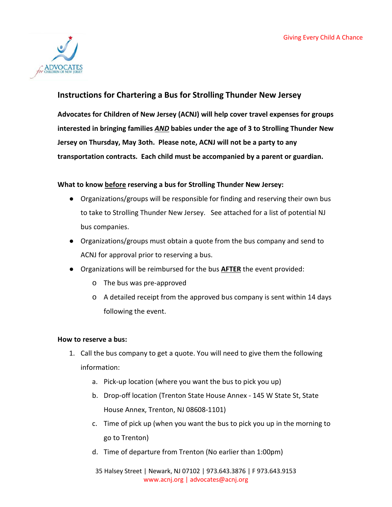

# **Instructions for Chartering a Bus for Strolling Thunder New Jersey**

**Advocates for Children of New Jersey (ACNJ) will help cover travel expenses for groups interested in bringing families** *AND* **babies under the age of 3 to Strolling Thunder New Jersey on Thursday, May 3oth. Please note, ACNJ will not be a party to any transportation contracts. Each child must be accompanied by a parent or guardian.** 

# **What to know before reserving a bus for Strolling Thunder New Jersey:**

- Organizations/groups will be responsible for finding and reserving their own bus to take to Strolling Thunder New Jersey. See attached for a list of potential NJ bus companies.
- Organizations/groups must obtain a quote from the bus company and send to ACNJ for approval prior to reserving a bus.
- Organizations will be reimbursed for the bus **AFTER** the event provided:
	- o The bus was pre-approved
	- o A detailed receipt from the approved bus company is sent within 14 days following the event.

## **How to reserve a bus:**

- 1. Call the bus company to get a quote. You will need to give them the following information:
	- a. Pick-up location (where you want the bus to pick you up)
	- b. Drop-off location (Trenton State House Annex 145 W State St, State House Annex, Trenton, NJ 08608-1101)
	- c. Time of pick up (when you want the bus to pick you up in the morning to go to Trenton)
	- d. Time of departure from Trenton (No earlier than 1:00pm)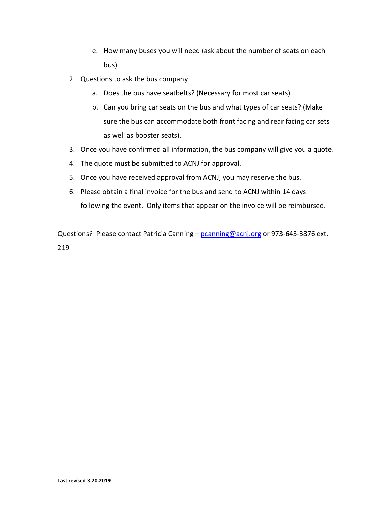- e. How many buses you will need (ask about the number of seats on each bus)
- 2. Questions to ask the bus company
	- a. Does the bus have seatbelts? (Necessary for most car seats)
	- b. Can you bring car seats on the bus and what types of car seats? (Make sure the bus can accommodate both front facing and rear facing car sets as well as booster seats).
- 3. Once you have confirmed all information, the bus company will give you a quote.
- 4. The quote must be submitted to ACNJ for approval.
- 5. Once you have received approval from ACNJ, you may reserve the bus.
- 6. Please obtain a final invoice for the bus and send to ACNJ within 14 days following the event. Only items that appear on the invoice will be reimbursed.

Questions? Please contact Patricia Canning - [pcanning@acnj.org](mailto:pcanning@acnj.org) or 973-643-3876 ext. 219